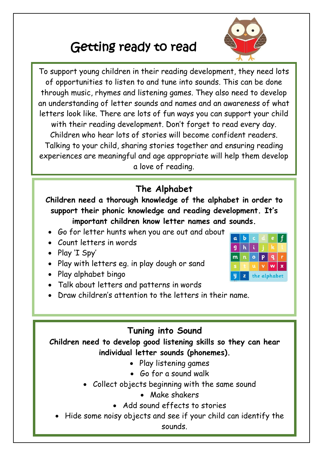# Getting ready to read

 $\overline{\phantom{a}}$ To support young children in their reading development, they need lots of opportunities to listen to and tune into sounds. This can be done through music, rhymes and listening games. They also need to develop an understanding of letter sounds and names and an awareness of what letters look like. There are lots of fun ways you can support your child with their reading development. Don't forget to read every day. Children who hear lots of stories will become confident readers. Talking to your child, sharing stories together and ensuring reading experiences are meaningful and age appropriate will help them develop a love of reading.

## **The Alphabet**

**Children need a thorough knowledge of the alphabet in order to support their phonic knowledge and reading development. It's important children know letter names and sounds.**

- Go for letter hunts when you are out and about
- Count letters in words
- Play 'I Spy'
- Play with letters eg. in play dough or sand
- Play alphabet bingo
- Talk about letters and patterns in words
- Draw children's attention to the letters in their name.

## **Tuning into Sound**

**Children need to develop good listening skills so they can hear individual letter sounds (phonemes).**

- Play listening games
- Go for a sound walk
- Collect objects beginning with the same sound
	- Make shakers
	- Add sound effects to stories
- Hide some noisy objects and see if your child can identify the sounds.